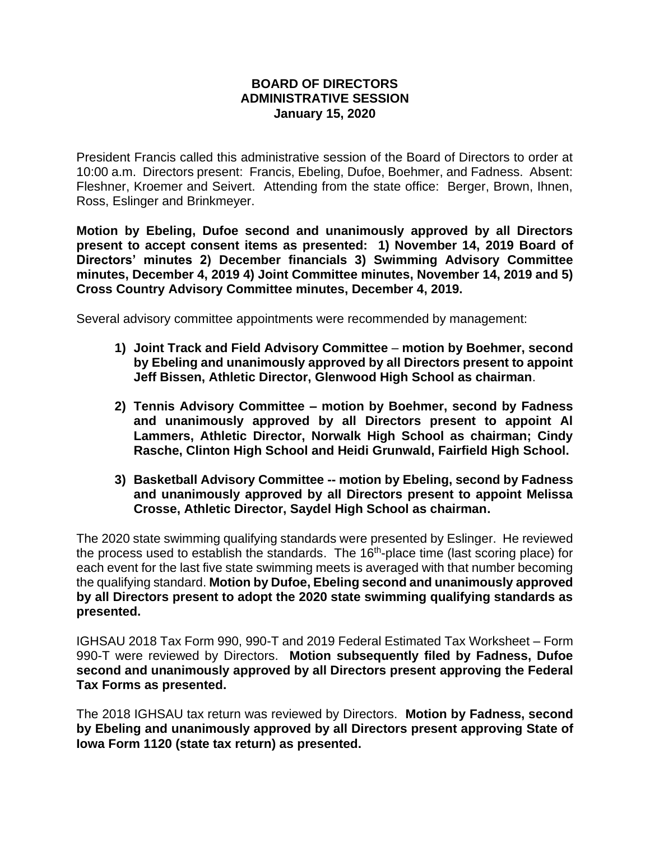## **BOARD OF DIRECTORS ADMINISTRATIVE SESSION January 15, 2020**

President Francis called this administrative session of the Board of Directors to order at 10:00 a.m. Directors present: Francis, Ebeling, Dufoe, Boehmer, and Fadness. Absent: Fleshner, Kroemer and Seivert. Attending from the state office: Berger, Brown, Ihnen, Ross, Eslinger and Brinkmeyer.

**Motion by Ebeling, Dufoe second and unanimously approved by all Directors present to accept consent items as presented: 1) November 14, 2019 Board of Directors' minutes 2) December financials 3) Swimming Advisory Committee minutes, December 4, 2019 4) Joint Committee minutes, November 14, 2019 and 5) Cross Country Advisory Committee minutes, December 4, 2019.**

Several advisory committee appointments were recommended by management:

- **1) Joint Track and Field Advisory Committee motion by Boehmer, second by Ebeling and unanimously approved by all Directors present to appoint Jeff Bissen, Athletic Director, Glenwood High School as chairman**.
- **2) Tennis Advisory Committee – motion by Boehmer, second by Fadness and unanimously approved by all Directors present to appoint Al Lammers, Athletic Director, Norwalk High School as chairman; Cindy Rasche, Clinton High School and Heidi Grunwald, Fairfield High School.**
- **3) Basketball Advisory Committee -- motion by Ebeling, second by Fadness and unanimously approved by all Directors present to appoint Melissa Crosse, Athletic Director, Saydel High School as chairman.**

The 2020 state swimming qualifying standards were presented by Eslinger. He reviewed the process used to establish the standards. The  $16<sup>th</sup>$ -place time (last scoring place) for each event for the last five state swimming meets is averaged with that number becoming the qualifying standard. **Motion by Dufoe, Ebeling second and unanimously approved by all Directors present to adopt the 2020 state swimming qualifying standards as presented.**

IGHSAU 2018 Tax Form 990, 990-T and 2019 Federal Estimated Tax Worksheet – Form 990-T were reviewed by Directors. **Motion subsequently filed by Fadness, Dufoe second and unanimously approved by all Directors present approving the Federal Tax Forms as presented.**

The 2018 IGHSAU tax return was reviewed by Directors. **Motion by Fadness, second by Ebeling and unanimously approved by all Directors present approving State of Iowa Form 1120 (state tax return) as presented.**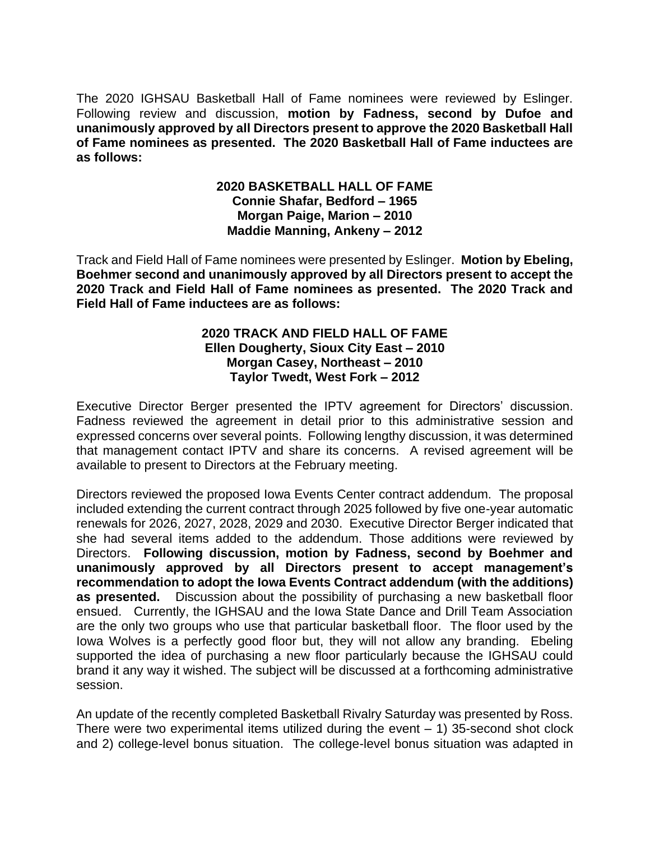The 2020 IGHSAU Basketball Hall of Fame nominees were reviewed by Eslinger. Following review and discussion, **motion by Fadness, second by Dufoe and unanimously approved by all Directors present to approve the 2020 Basketball Hall of Fame nominees as presented. The 2020 Basketball Hall of Fame inductees are as follows:**

## **2020 BASKETBALL HALL OF FAME Connie Shafar, Bedford – 1965 Morgan Paige, Marion – 2010 Maddie Manning, Ankeny – 2012**

Track and Field Hall of Fame nominees were presented by Eslinger. **Motion by Ebeling, Boehmer second and unanimously approved by all Directors present to accept the 2020 Track and Field Hall of Fame nominees as presented. The 2020 Track and Field Hall of Fame inductees are as follows:**

## **2020 TRACK AND FIELD HALL OF FAME Ellen Dougherty, Sioux City East – 2010 Morgan Casey, Northeast – 2010 Taylor Twedt, West Fork – 2012**

Executive Director Berger presented the IPTV agreement for Directors' discussion. Fadness reviewed the agreement in detail prior to this administrative session and expressed concerns over several points. Following lengthy discussion, it was determined that management contact IPTV and share its concerns. A revised agreement will be available to present to Directors at the February meeting.

Directors reviewed the proposed Iowa Events Center contract addendum. The proposal included extending the current contract through 2025 followed by five one-year automatic renewals for 2026, 2027, 2028, 2029 and 2030. Executive Director Berger indicated that she had several items added to the addendum. Those additions were reviewed by Directors. **Following discussion, motion by Fadness, second by Boehmer and unanimously approved by all Directors present to accept management's recommendation to adopt the Iowa Events Contract addendum (with the additions) as presented.** Discussion about the possibility of purchasing a new basketball floor ensued. Currently, the IGHSAU and the Iowa State Dance and Drill Team Association are the only two groups who use that particular basketball floor. The floor used by the Iowa Wolves is a perfectly good floor but, they will not allow any branding. Ebeling supported the idea of purchasing a new floor particularly because the IGHSAU could brand it any way it wished. The subject will be discussed at a forthcoming administrative session.

An update of the recently completed Basketball Rivalry Saturday was presented by Ross. There were two experimental items utilized during the event  $-1$ ) 35-second shot clock and 2) college-level bonus situation. The college-level bonus situation was adapted in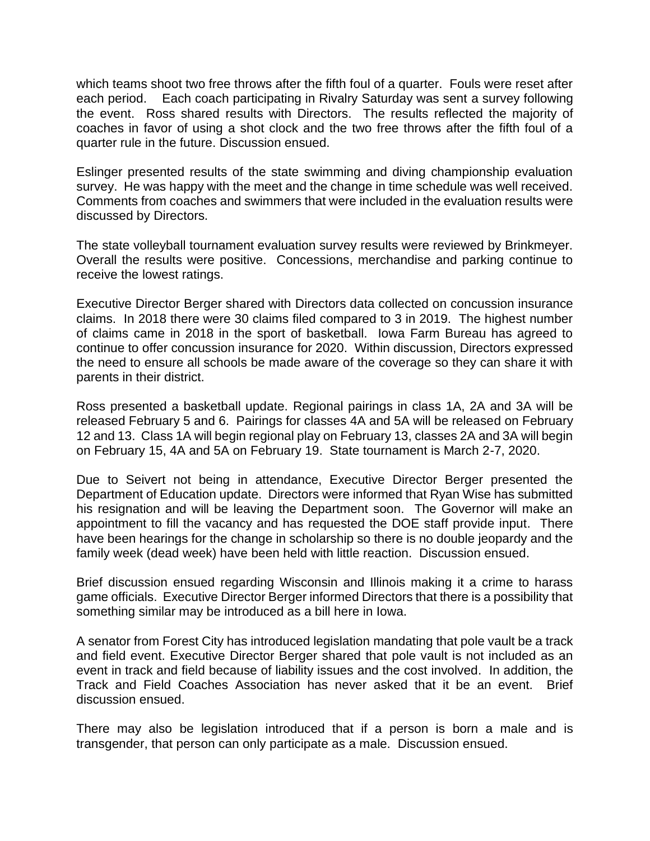which teams shoot two free throws after the fifth foul of a quarter. Fouls were reset after each period. Each coach participating in Rivalry Saturday was sent a survey following the event. Ross shared results with Directors. The results reflected the majority of coaches in favor of using a shot clock and the two free throws after the fifth foul of a quarter rule in the future. Discussion ensued.

Eslinger presented results of the state swimming and diving championship evaluation survey. He was happy with the meet and the change in time schedule was well received. Comments from coaches and swimmers that were included in the evaluation results were discussed by Directors.

The state volleyball tournament evaluation survey results were reviewed by Brinkmeyer. Overall the results were positive. Concessions, merchandise and parking continue to receive the lowest ratings.

Executive Director Berger shared with Directors data collected on concussion insurance claims. In 2018 there were 30 claims filed compared to 3 in 2019. The highest number of claims came in 2018 in the sport of basketball. Iowa Farm Bureau has agreed to continue to offer concussion insurance for 2020. Within discussion, Directors expressed the need to ensure all schools be made aware of the coverage so they can share it with parents in their district.

Ross presented a basketball update. Regional pairings in class 1A, 2A and 3A will be released February 5 and 6. Pairings for classes 4A and 5A will be released on February 12 and 13. Class 1A will begin regional play on February 13, classes 2A and 3A will begin on February 15, 4A and 5A on February 19. State tournament is March 2-7, 2020.

Due to Seivert not being in attendance, Executive Director Berger presented the Department of Education update. Directors were informed that Ryan Wise has submitted his resignation and will be leaving the Department soon. The Governor will make an appointment to fill the vacancy and has requested the DOE staff provide input. There have been hearings for the change in scholarship so there is no double jeopardy and the family week (dead week) have been held with little reaction. Discussion ensued.

Brief discussion ensued regarding Wisconsin and Illinois making it a crime to harass game officials. Executive Director Berger informed Directors that there is a possibility that something similar may be introduced as a bill here in Iowa.

A senator from Forest City has introduced legislation mandating that pole vault be a track and field event. Executive Director Berger shared that pole vault is not included as an event in track and field because of liability issues and the cost involved. In addition, the Track and Field Coaches Association has never asked that it be an event. Brief discussion ensued.

There may also be legislation introduced that if a person is born a male and is transgender, that person can only participate as a male. Discussion ensued.